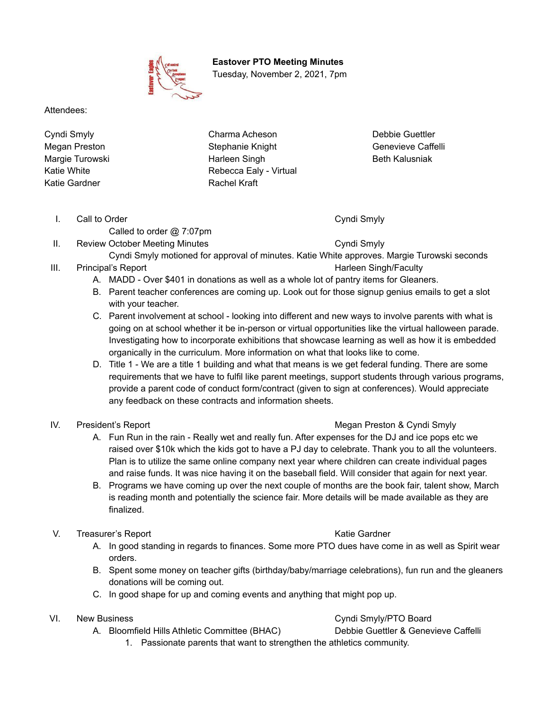**Eastover PTO Meeting Minutes** Tuesday, November 2, 2021, 7pm

Attendees:

Cyndi Smyly Megan Preston Margie Turowski Katie White Katie Gardner

Charma Acheson Stephanie Knight Harleen Singh Rebecca Ealy - Virtual Rachel Kraft

Debbie Guettler Genevieve Caffelli Beth Kalusniak

I. Call to Order Cyndi Smyly

Called to order @ 7:07pm

II. Review October Meeting Minutes **Cyndi Smyly** 

- Cyndi Smyly motioned for approval of minutes. Katie White approves. Margie Turowski seconds III. Principal's Report **Harleen Singh/Faculty** Harleen Singh/Faculty
	- A. MADD Over \$401 in donations as well as a whole lot of pantry items for Gleaners.
	- B. Parent teacher conferences are coming up. Look out for those signup genius emails to get a slot with your teacher.
	- C. Parent involvement at school looking into different and new ways to involve parents with what is going on at school whether it be in-person or virtual opportunities like the virtual halloween parade. Investigating how to incorporate exhibitions that showcase learning as well as how it is embedded organically in the curriculum. More information on what that looks like to come.
	- D. Title 1 We are a title 1 building and what that means is we get federal funding. There are some requirements that we have to fulfil like parent meetings, support students through various programs, provide a parent code of conduct form/contract (given to sign at conferences). Would appreciate any feedback on these contracts and information sheets.

# IV. President's Report **Megan President's Report** Megan Preston & Cyndi Smyly

- A. Fun Run in the rain Really wet and really fun. After expenses for the DJ and ice pops etc we raised over \$10k which the kids got to have a PJ day to celebrate. Thank you to all the volunteers. Plan is to utilize the same online company next year where children can create individual pages and raise funds. It was nice having it on the baseball field. Will consider that again for next year.
- B. Programs we have coming up over the next couple of months are the book fair, talent show, March is reading month and potentially the science fair. More details will be made available as they are finalized.

# V. Treasurer's Report New York Care Katie Gardner

- A. In good standing in regards to finances. Some more PTO dues have come in as well as Spirit wear orders.
- B. Spent some money on teacher gifts (birthday/baby/marriage celebrations), fun run and the gleaners donations will be coming out.
- C. In good shape for up and coming events and anything that might pop up.

- A. Bloomfield Hills Athletic Committee (BHAC) Debbie Guettler & Genevieve Caffelli
- VI. New Business **Cyndi Smyly/PTO Board** Number 2012 12:30 and Cyndi Smyly/PTO Board

1. Passionate parents that want to strengthen the athletics community.

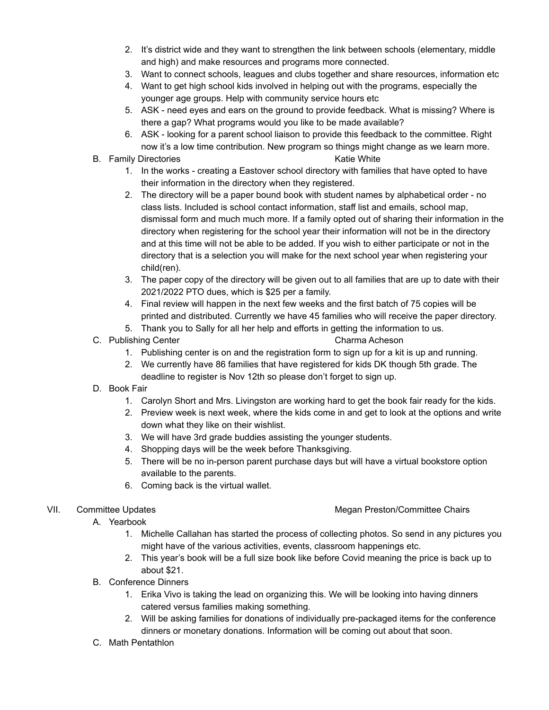- 2. It's district wide and they want to strengthen the link between schools (elementary, middle and high) and make resources and programs more connected.
- 3. Want to connect schools, leagues and clubs together and share resources, information etc
- 4. Want to get high school kids involved in helping out with the programs, especially the younger age groups. Help with community service hours etc
- 5. ASK need eyes and ears on the ground to provide feedback. What is missing? Where is there a gap? What programs would you like to be made available?
- 6. ASK looking for a parent school liaison to provide this feedback to the committee. Right now it's a low time contribution. New program so things might change as we learn more.
- B. Family Directories **Katie White** B. Family Directories
	- 1. In the works creating a Eastover school directory with families that have opted to have their information in the directory when they registered.
	- 2. The directory will be a paper bound book with student names by alphabetical order no class lists. Included is school contact information, staff list and emails, school map, dismissal form and much much more. If a family opted out of sharing their information in the directory when registering for the school year their information will not be in the directory and at this time will not be able to be added. If you wish to either participate or not in the directory that is a selection you will make for the next school year when registering your child(ren).
	- 3. The paper copy of the directory will be given out to all families that are up to date with their 2021/2022 PTO dues, which is \$25 per a family.
	- 4. Final review will happen in the next few weeks and the first batch of 75 copies will be printed and distributed. Currently we have 45 families who will receive the paper directory.
	- 5. Thank you to Sally for all her help and efforts in getting the information to us.

## C. Publishing Center Charma Acheson

- 1. Publishing center is on and the registration form to sign up for a kit is up and running.
- 2. We currently have 86 families that have registered for kids DK though 5th grade. The deadline to register is Nov 12th so please don't forget to sign up.
- D. Book Fair
	- 1. Carolyn Short and Mrs. Livingston are working hard to get the book fair ready for the kids.
	- 2. Preview week is next week, where the kids come in and get to look at the options and write down what they like on their wishlist.
	- 3. We will have 3rd grade buddies assisting the younger students.
	- 4. Shopping days will be the week before Thanksgiving.
	- 5. There will be no in-person parent purchase days but will have a virtual bookstore option available to the parents.
	- 6. Coming back is the virtual wallet.

### VII. Committee Updates **Megan Preston/Committee Chairs** Megan Preston/Committee Chairs

- A. Yearbook
	- 1. Michelle Callahan has started the process of collecting photos. So send in any pictures you might have of the various activities, events, classroom happenings etc.
	- 2. This year's book will be a full size book like before Covid meaning the price is back up to about \$21.
- B. Conference Dinners
	- 1. Erika Vivo is taking the lead on organizing this. We will be looking into having dinners catered versus families making something.
	- 2. Will be asking families for donations of individually pre-packaged items for the conference dinners or monetary donations. Information will be coming out about that soon.
- C. Math Pentathlon